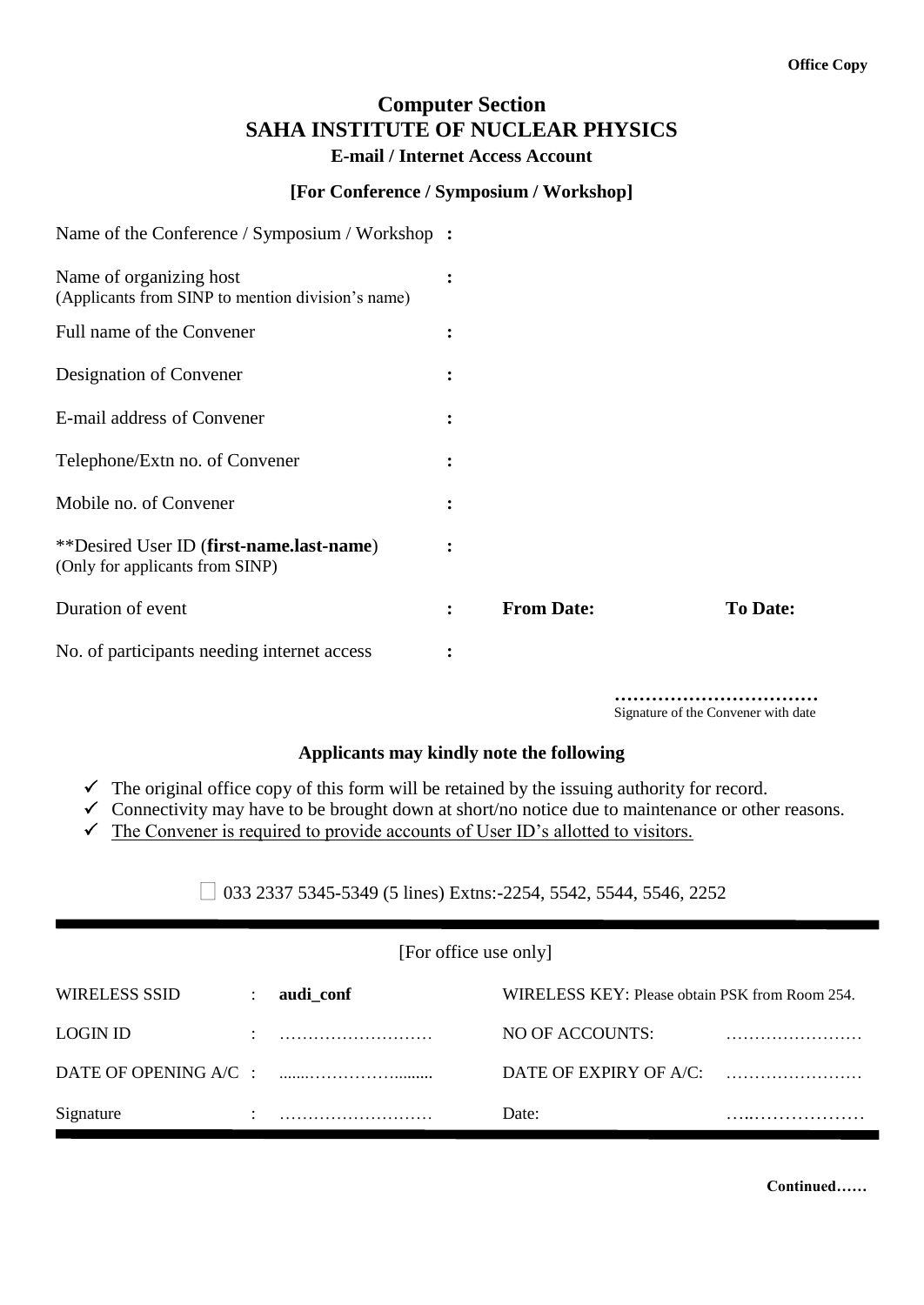## **Computer Section SAHA INSTITUTE OF NUCLEAR PHYSICS E-mail / Internet Access Account**

## **[For Conference / Symposium / Workshop]**

| Name of the Conference / Symposium / Workshop :                                    |                |                   |                 |
|------------------------------------------------------------------------------------|----------------|-------------------|-----------------|
| Name of organizing host<br>(Applicants from SINP to mention division's name)       | $\ddot{\cdot}$ |                   |                 |
| Full name of the Convener                                                          | $\ddot{\cdot}$ |                   |                 |
| Designation of Convener                                                            | $\ddot{\cdot}$ |                   |                 |
| E-mail address of Convener                                                         | $\ddot{\cdot}$ |                   |                 |
| Telephone/Extn no. of Convener                                                     | $\ddot{\cdot}$ |                   |                 |
| Mobile no. of Convener                                                             | $\ddot{\cdot}$ |                   |                 |
| <i>**Desired User ID (first-name.last-name)</i><br>(Only for applicants from SINP) | $\ddot{\cdot}$ |                   |                 |
| Duration of event                                                                  | $\ddot{\cdot}$ | <b>From Date:</b> | <b>To Date:</b> |
| No. of participants needing internet access                                        | $\ddot{\cdot}$ |                   |                 |

**……………………………** Signature of the Convener with date

## **Applicants may kindly note the following**

- $\checkmark$  The original office copy of this form will be retained by the issuing authority for record.
- $\checkmark$  Connectivity may have to be brought down at short/no notice due to maintenance or other reasons.
- $\checkmark$  The Convener is required to provide accounts of User ID's allotted to visitors.

 $\Box$  033 2337 5345-5349 (5 lines) Extns:-2254, 5542, 5544, 5546, 2252

[For office use only]

| WIRELESS SSID   | audi_conf | WIRELESS KEY: Please obtain PSK from Room 254. |  |  |
|-----------------|-----------|------------------------------------------------|--|--|
| <b>LOGIN ID</b> |           | NO OF ACCOUNTS:                                |  |  |
|                 |           | DATE OF EXPIRY OF $A/C$ :                      |  |  |
| Signature       |           | Date:                                          |  |  |

**Continued……**